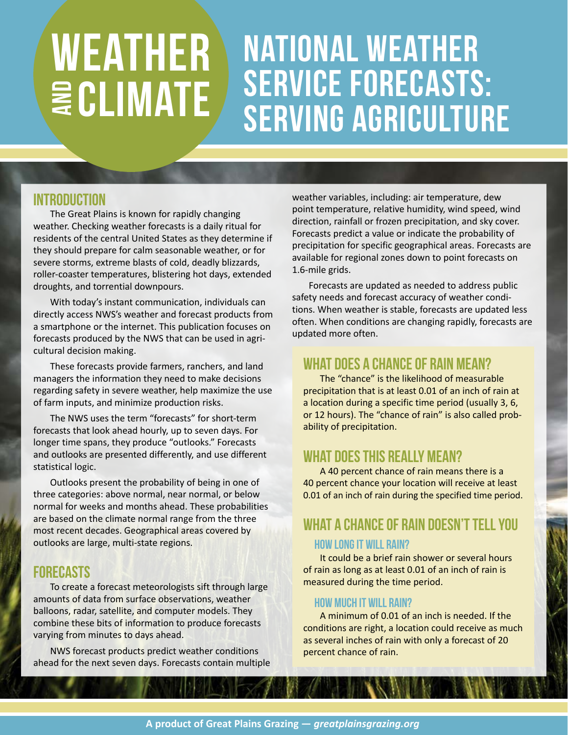## National weather service forecasts: serving agriculture **WEATHER WATE**

### **INTRODUCTION**

The Great Plains is known for rapidly changing weather. Checking weather forecasts is a daily ritual for residents of the central United States as they determine if they should prepare for calm seasonable weather, or for severe storms, extreme blasts of cold, deadly blizzards, roller-coaster temperatures, blistering hot days, extended droughts, and torrential downpours.

With today's instant communication, individuals can directly access NWS's weather and forecast products from a smartphone or the internet. This publication focuses on forecasts produced by the NWS that can be used in agricultural decision making.

These forecasts provide farmers, ranchers, and land managers the information they need to make decisions regarding safety in severe weather, help maximize the use of farm inputs, and minimize production risks.

The NWS uses the term "forecasts" for short-term forecasts that look ahead hourly, up to seven days. For longer time spans, they produce "outlooks." Forecasts and outlooks are presented differently, and use different statistical logic.

Outlooks present the probability of being in one of three categories: above normal, near normal, or below normal for weeks and months ahead. These probabilities are based on the climate normal range from the three most recent decades. Geographical areas covered by outlooks are large, multi-state regions.

## Forecasts

To create a forecast meteorologists sift through large amounts of data from surface observations, weather balloons, radar, satellite, and computer models. They combine these bits of information to produce forecasts varying from minutes to days ahead.

NWS forecast products predict weather conditions ahead for the next seven days. Forecasts contain multiple weather variables, including: air temperature, dew point temperature, relative humidity, wind speed, wind direction, rainfall or frozen precipitation, and sky cover. Forecasts predict a value or indicate the probability of precipitation for specific geographical areas. Forecasts are available for regional zones down to point forecasts on 1.6-mile grids.

Forecasts are updated as needed to address public safety needs and forecast accuracy of weather conditions. When weather is stable, forecasts are updated less often. When conditions are changing rapidly, forecasts are updated more often.

## WHAT DOES A CHANCE OF RAIN MEAN?

The "chance" is the likelihood of measurable precipitation that is at least 0.01 of an inch of rain at a location during a specific time period (usually 3, 6, or 12 hours). The "chance of rain" is also called probability of precipitation.

## What Does This Really Mean?

A 40 percent chance of rain means there is a 40 percent chance your location will receive at least 0.01 of an inch of rain during the specified time period.

# WHAT A CHANCE OF RAIN DOESN'T TELL YOU

### How Long It Will Rain?

It could be a brief rain shower or several hours of rain as long as at least 0.01 of an inch of rain is measured during the time period.

#### HOW MUCH IT WILL RAIN?

A minimum of 0.01 of an inch is needed. If the conditions are right, a location could receive as much as several inches of rain with only a forecast of 20 percent chance of rain.

**HAMER WILK OF**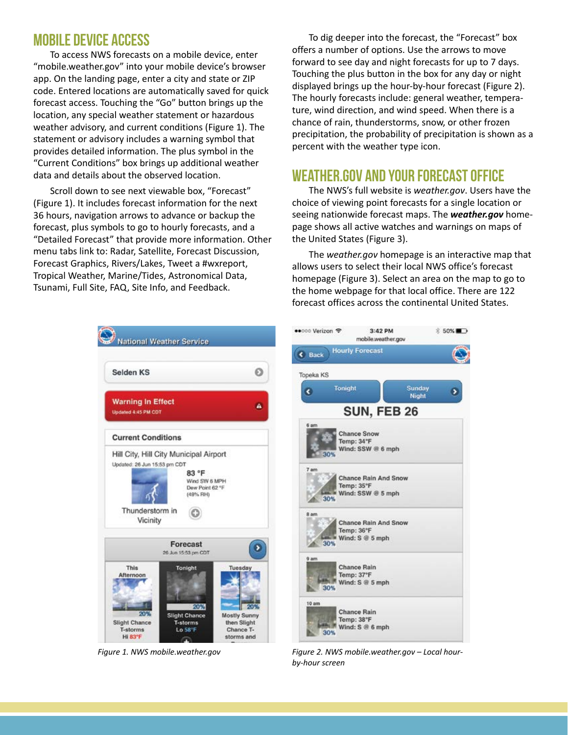## MOBILE DEVICE ACCESS

To access NWS forecasts on a mobile device, enter ["mobile.weather.gov"](http://mobile.weather.gov/) into your mobile device's browser app. On the landing page, enter a city and state or ZIP code. Entered locations are automatically saved for quick forecast access. Touching the "Go" button brings up the location, any special weather statement or hazardous weather advisory, and current conditions (Figure 1). The statement or advisory includes a warning symbol that provides detailed information. The plus symbol in the "Current Conditions" box brings up additional weather data and details about the observed location.

Scroll down to see next viewable box, "Forecast" (Figure 1). It includes forecast information for the next 36 hours, navigation arrows to advance or backup the forecast, plus symbols to go to hourly forecasts, and a "Detailed Forecast" that provide more information. Other menu tabs link to: Radar, Satellite, Forecast Discussion, Forecast Graphics, Rivers/Lakes, Tweet a #wxreport, Tropical Weather, Marine/Tides, Astronomical Data, Tsunami, Full Site, FAQ, Site Info, and Feedback.

To dig deeper into the forecast, the "Forecast" box offers a number of options. Use the arrows to move forward to see day and night forecasts for up to 7 days. Touching the plus button in the box for any day or night displayed brings up the hour-by-hour forecast (Figure 2). The hourly forecasts include: general weather, temperature, wind direction, and wind speed. When there is a chance of rain, thunderstorms, snow, or other frozen precipitation, the probability of precipitation is shown as a percent with the weather type icon.

## WEATHER.GOV and YOUR FORECAST OFFICE

The NWS's full website is *[weather.gov](http://www.weather.gov/)*. Users have the choice of viewing point forecasts for a single location or seeing nationwide forecast maps. The *[weather.gov](http://www.weather.gov/)* homepage shows all active watches and warnings on maps of the United States (Figure 3).

The *[weather.gov](http://www.weather.gov/)* homepage is an interactive map that allows users to select their local NWS office's forecast homepage (Figure 3). Select an area on the map to go to the home webpage for that local office. There are 122 forecast offices across the continental United States.



*Figure 1. NWS mobile.weather.gov Figure 2. NWS mobile.weather.gov – Local hourby-hour screen*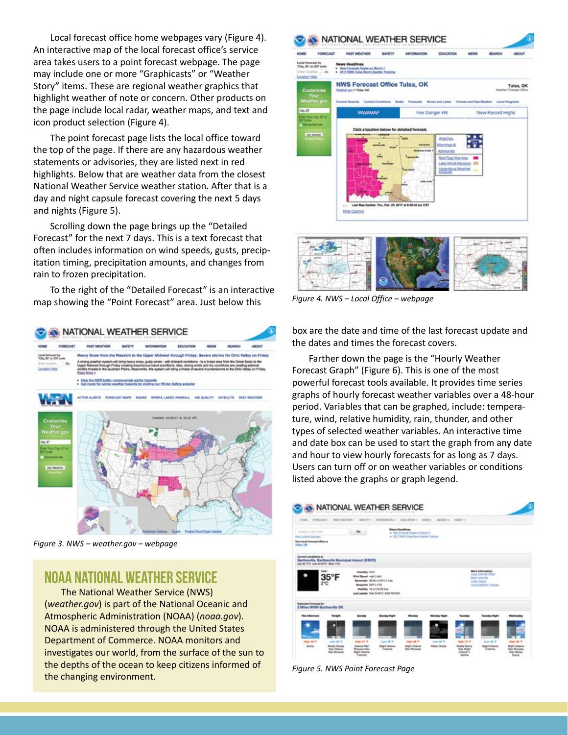Local forecast office home webpages vary (Figure 4). An interactive map of the local forecast office's service area takes users to a point forecast webpage. The page may include one or more "Graphicasts" or "Weather Story" items. These are regional weather graphics that highlight weather of note or concern. Other products on the page include local radar, weather maps, and text and icon product selection (Figure 4).

The point forecast page lists the local office toward the top of the page. If there are any hazardous weather statements or advisories, they are listed next in red highlights. Below that are weather data from the closest National Weather Service weather station. After that is a day and night capsule forecast covering the next 5 days and nights (Figure 5).

Scrolling down the page brings up the "Detailed Forecast" for the next 7 days. This is a text forecast that often includes information on wind speeds, gusts, precipitation timing, precipitation amounts, and changes from rain to frozen precipitation.

To the right of the "Detailed Forecast" is an interactive map showing the "Point Forecast" area. Just below this



*Figure 3. NWS [– weather.gov –](http://www.weather.gov/) webpage*

## NOAA National Weather Service

The National Weather Service (NWS) (*[weather.gov](http://www.weather.gov/)*) is part of the National Oceanic and Atmospheric Administration (NOAA) (*[noaa.gov](http://www.noaa.gov/)*). NOAA is administered through the United States Department of Commerce. NOAA monitors and investigates our world, from the surface of the sun to the depths of the ocean to keep citizens informed of the changing environment.





box are the date and time of the last forecast update and the dates and times the forecast covers.

Farther down the page is the "Hourly Weather Forecast Graph" (Figure 6). This is one of the most powerful forecast tools available. It provides time series graphs of hourly forecast weather variables over a 48-hour period. Variables that can be graphed, include: temperature, wind, relative humidity, rain, thunder, and other types of selected weather variables. An interactive time and date box can be used to start the graph from any date and hour to view hourly forecasts for as long as 7 days. Users can turn off or on weather variables or conditions listed above the graphs or graph legend.



*Figure 5. NWS Point Forecast Page*